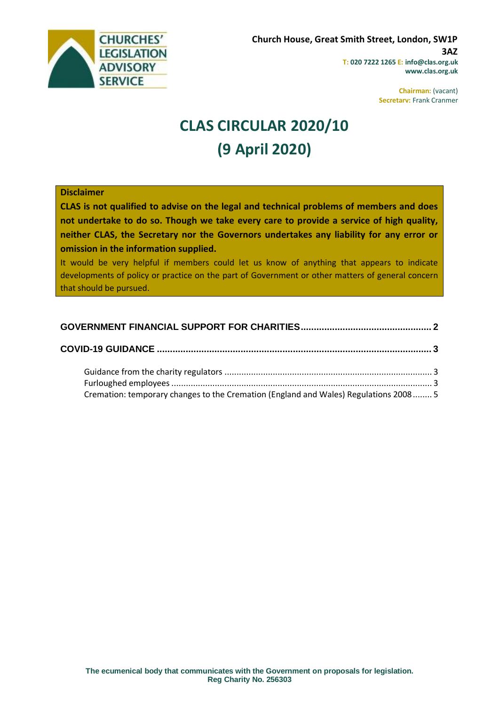

**Chairman:** (vacant) **Secretary:** Frank Cranmer

# **CLAS CIRCULAR 2020/10 (9 April 2020)**

### **Disclaimer**

**CLAS is not qualified to advise on the legal and technical problems of members and does not undertake to do so. Though we take every care to provide a service of high quality, neither CLAS, the Secretary nor the Governors undertakes any liability for any error or omission in the information supplied.**

It would be very helpful if members could let us know of anything that appears to indicate developments of policy or practice on the part of Government or other matters of general concern that should be pursued.

| Cremation: temporary changes to the Cremation (England and Wales) Regulations 2008 5 |  |
|--------------------------------------------------------------------------------------|--|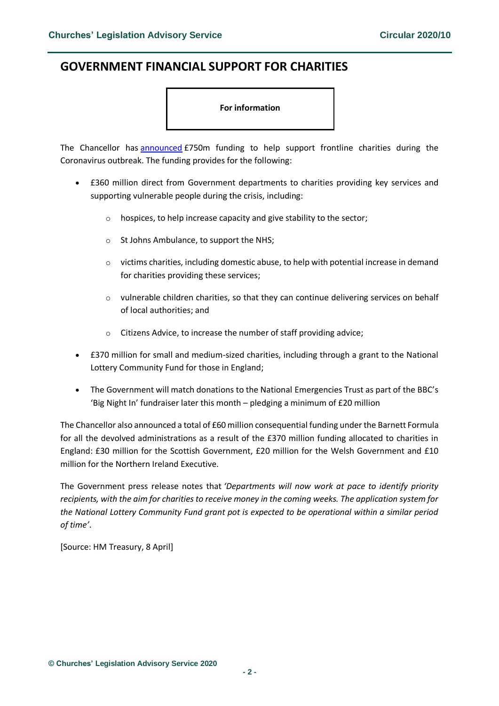## <span id="page-1-0"></span>**GOVERNMENT FINANCIAL SUPPORT FOR CHARITIES**

#### **For information**

The Chancellor has [announced](https://www.gov.uk/government/news/chancellor-sets-out-extra-750-million-coronavirus-funding-for-frontline-charities) £750m funding to help support frontline charities during the Coronavirus outbreak. The funding provides for the following:

- £360 million direct from Government departments to charities providing key services and supporting vulnerable people during the crisis, including:
	- o hospices, to help increase capacity and give stability to the sector;
	- o St Johns Ambulance, to support the NHS;
	- $\circ$  victims charities, including domestic abuse, to help with potential increase in demand for charities providing these services;
	- o vulnerable children charities, so that they can continue delivering services on behalf of local authorities; and
	- o Citizens Advice, to increase the number of staff providing advice;
- £370 million for small and medium-sized charities, including through a grant to the National Lottery Community Fund for those in England;
- The Government will match donations to the National Emergencies Trust as part of the BBC's 'Big Night In' fundraiser later this month – pledging a minimum of £20 million

The Chancellor also announced a total of £60 million consequential funding under the Barnett Formula for all the devolved administrations as a result of the £370 million funding allocated to charities in England: £30 million for the Scottish Government, £20 million for the Welsh Government and £10 million for the Northern Ireland Executive.

The Government press release notes that *'Departments will now work at pace to identify priority recipients, with the aim for charities to receive money in the coming weeks. The application system for the National Lottery Community Fund grant pot is expected to be operational within a similar period of time'*.

[Source: HM Treasury, 8 April]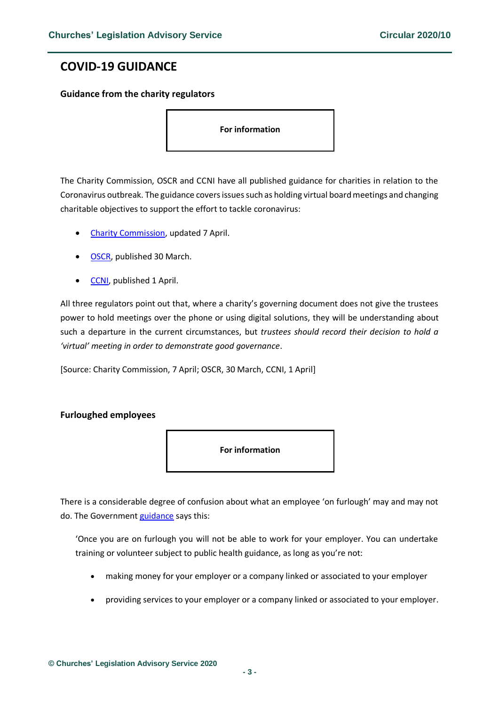## <span id="page-2-0"></span>**COVID-19 GUIDANCE**

## <span id="page-2-1"></span>**Guidance from the charity regulators**

**For information** 

The Charity Commission, OSCR and CCNI have all published guidance for charities in relation to the Coronavirus outbreak. The guidance covers issues such as holding virtual board meetings and changing charitable objectives to support the effort to tackle coronavirus:

- [Charity Commission,](https://www.gov.uk/guidance/coronavirus-covid-19-guidance-for-the-charity-sector?utm_source=068663df-d4f1-42de-8cc1-8d00f73cfbce&utm_medium=email&utm_campaign=govuk-notifications&utm_content=daily) updated 7 April.
- **OSCR**, published 30 March.
- [CCNI,](https://www.charitycommissionni.org.uk/charity-essentials/covid-19-guidance/covid-19-guidance-for-charities/#SUPPORT) published 1 April.

All three regulators point out that, where a charity's governing document does not give the trustees power to hold meetings over the phone or using digital solutions, they will be understanding about such a departure in the current circumstances, but *trustees should record their decision to hold a 'virtual' meeting in order to demonstrate good governance*.

[Source: Charity Commission, 7 April; OSCR, 30 March, CCNI, 1 April]

## <span id="page-2-2"></span>**Furloughed employees**



There is a considerable degree of confusion about what an employee 'on furlough' may and may not do. The Government [guidance](https://www.gov.uk/guidance/check-if-you-could-be-covered-by-the-coronavirus-job-retention-scheme#while-youre-on-furlough) says this:

'Once you are on furlough you will not be able to work for your employer. You can undertake training or volunteer subject to public health guidance, as long as you're not:

- making money for your employer or a company linked or associated to your employer
- providing services to your employer or a company linked or associated to your employer.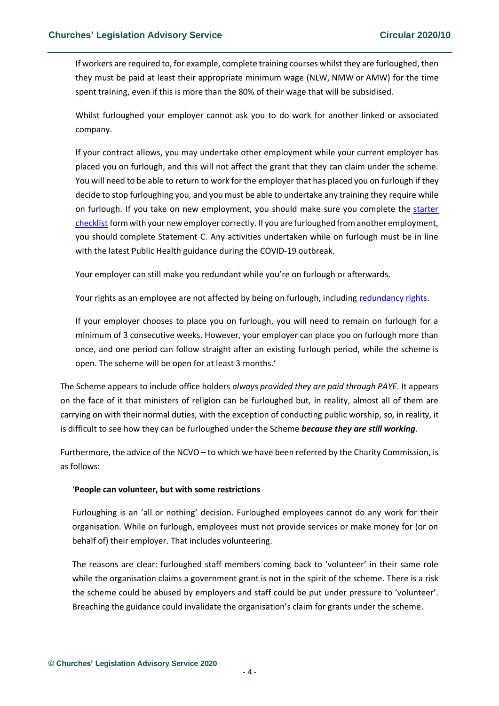If workers are required to, for example, complete training courses whilst they are furloughed, then they must be paid at least their appropriate minimum wage (NLW, NMW or AMW) for the time spent training, even if this is more than the 80% of their wage that will be subsidised.

Whilst furloughed your employer cannot ask you to do work for another linked or associated company.

If your contract allows, you may undertake other employment while your current employer has placed you on furlough, and this will not affect the grant that they can claim under the scheme. You will need to be able to return to work for the employer that has placed you on furlough if they decide to stop furloughing you, and you must be able to undertake any training they require while on furlough. If you take on new employment, you should make sure you complete the [starter](https://www.gov.uk/government/publications/paye-starter-checklist)  [checklist](https://www.gov.uk/government/publications/paye-starter-checklist) form with your new employer correctly. If you are furloughed from another employment, you should complete Statement C. Any activities undertaken while on furlough must be in line with the latest Public Health guidance during the COVID-19 outbreak.

Your employer can still make you redundant while you're on furlough or afterwards.

Your rights as an employee are not affected by being on furlough, including [redundancy rights.](https://www.gov.uk/redundancy-your-rights)

If your employer chooses to place you on furlough, you will need to remain on furlough for a minimum of 3 consecutive weeks. However, your employer can place you on furlough more than once, and one period can follow straight after an existing furlough period, while the scheme is open. The scheme will be open for at least 3 months.'

The Scheme appears to include office holders *always provided they are paid through PAYE*. It appears on the face of it that ministers of religion can be furloughed but, in reality, almost all of them are carrying on with their normal duties, with the exception of conducting public worship, so, in reality, it is difficult to see how they can be furloughed under the Scheme *because they are still working*.

Furthermore, the advice of the NCVO – to which we have been referred by the Charity Commission, is as follows:

## '**People can volunteer, but with some restrictions**

Furloughing is an 'all or nothing' decision. Furloughed employees cannot do any work for their organisation. While on furlough, employees must not provide services or make money for (or on behalf of) their employer. That includes volunteering.

The reasons are clear: furloughed staff members coming back to 'volunteer' in their same role while the organisation claims a government grant is not in the spirit of the scheme. There is a risk the scheme could be abused by employers and staff could be put under pressure to 'volunteer'. Breaching the guidance could invalidate the organisation's claim for grants under the scheme.